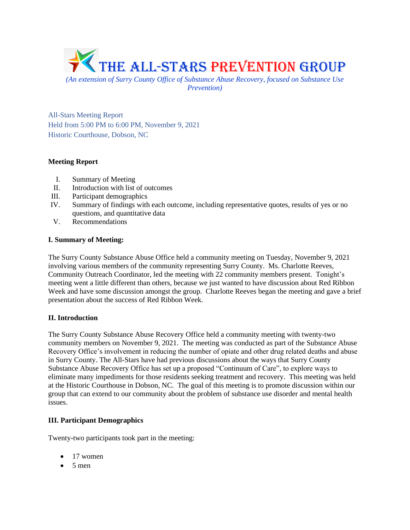

*Prevention)*

All-Stars Meeting Report Held from 5:00 PM to 6:00 PM, November 9, 2021 Historic Courthouse, Dobson, NC

# **Meeting Report**

- I. Summary of Meeting
- II. Introduction with list of outcomes
- III. Participant demographics
- IV. Summary of findings with each outcome, including representative quotes, results of yes or no questions, and quantitative data
- V. Recommendations

# **I. Summary of Meeting:**

The Surry County Substance Abuse Office held a community meeting on Tuesday, November 9, 2021 involving various members of the community representing Surry County. Ms. Charlotte Reeves, Community Outreach Coordinator, led the meeting with 22 community members present. Tonight's meeting went a little different than others, because we just wanted to have discussion about Red Ribbon Week and have some discussion amongst the group. Charlotte Reeves began the meeting and gave a brief presentation about the success of Red Ribbon Week.

# **II. Introduction**

The Surry County Substance Abuse Recovery Office held a community meeting with twenty-two community members on November 9, 2021. The meeting was conducted as part of the Substance Abuse Recovery Office's involvement in reducing the number of opiate and other drug related deaths and abuse in Surry County. The All-Stars have had previous discussions about the ways that Surry County Substance Abuse Recovery Office has set up a proposed "Continuum of Care", to explore ways to eliminate many impediments for those residents seeking treatment and recovery. This meeting was held at the Historic Courthouse in Dobson, NC. The goal of this meeting is to promote discussion within our group that can extend to our community about the problem of substance use disorder and mental health issues.

# **III. Participant Demographics**

Twenty-two participants took part in the meeting:

- 17 women
- $5$  men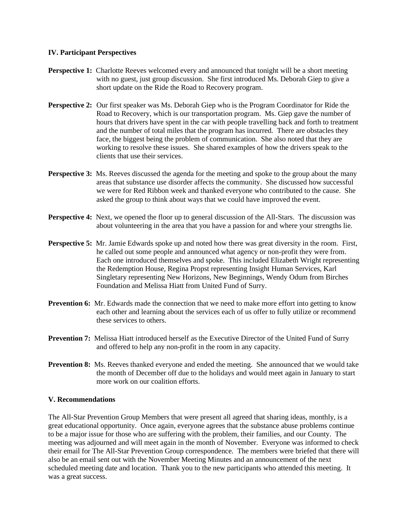#### **IV. Participant Perspectives**

- **Perspective 1:** Charlotte Reeves welcomed every and announced that tonight will be a short meeting with no guest, just group discussion. She first introduced Ms. Deborah Giep to give a short update on the Ride the Road to Recovery program.
- **Perspective 2:** Our first speaker was Ms. Deborah Giep who is the Program Coordinator for Ride the Road to Recovery, which is our transportation program. Ms. Giep gave the number of hours that drivers have spent in the car with people travelling back and forth to treatment and the number of total miles that the program has incurred. There are obstacles they face, the biggest being the problem of communication. She also noted that they are working to resolve these issues. She shared examples of how the drivers speak to the clients that use their services.
- **Perspective 3:** Ms. Reeves discussed the agenda for the meeting and spoke to the group about the many areas that substance use disorder affects the community. She discussed how successful we were for Red Ribbon week and thanked everyone who contributed to the cause. She asked the group to think about ways that we could have improved the event.
- **Perspective 4:** Next, we opened the floor up to general discussion of the All-Stars. The discussion was about volunteering in the area that you have a passion for and where your strengths lie.
- **Perspective 5:** Mr. Jamie Edwards spoke up and noted how there was great diversity in the room. First, he called out some people and announced what agency or non-profit they were from. Each one introduced themselves and spoke. This included Elizabeth Wright representing the Redemption House, Regina Propst representing Insight Human Services, Karl Singletary representing New Horizons, New Beginnings, Wendy Odum from Birches Foundation and Melissa Hiatt from United Fund of Surry.
- **Prevention 6:** Mr. Edwards made the connection that we need to make more effort into getting to know each other and learning about the services each of us offer to fully utilize or recommend these services to others.
- **Prevention 7:** Melissa Hiatt introduced herself as the Executive Director of the United Fund of Surry and offered to help any non-profit in the room in any capacity.
- **Prevention 8:** Ms. Reeves thanked everyone and ended the meeting. She announced that we would take the month of December off due to the holidays and would meet again in January to start more work on our coalition efforts.

# **V. Recommendations**

The All-Star Prevention Group Members that were present all agreed that sharing ideas, monthly, is a great educational opportunity. Once again, everyone agrees that the substance abuse problems continue to be a major issue for those who are suffering with the problem, their families, and our County. The meeting was adjourned and will meet again in the month of November. Everyone was informed to check their email for The All-Star Prevention Group correspondence. The members were briefed that there will also be an email sent out with the November Meeting Minutes and an announcement of the next scheduled meeting date and location. Thank you to the new participants who attended this meeting. It was a great success.